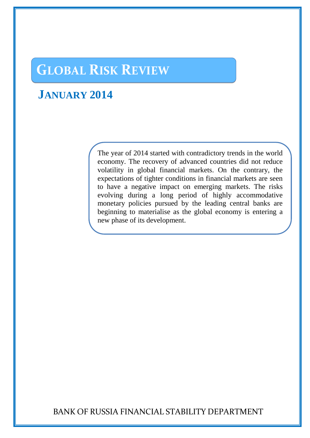# **GLOBAL RISK REVIEW**

## **JANUARY 2014**

The year of 2014 started with contradictory trends in the world economy. The recovery of advanced countries did not reduce volatility in global financial markets. On the contrary, the expectations of tighter conditions in financial markets are seen to have a negative impact on emerging markets. The risks evolving during a long period of highly accommodative monetary policies pursued by the leading central banks are beginning to materialise as the global economy is entering a new phase of its development.

BANK OF RUSSIA FINANCIAL STABILITY DEPARTMENT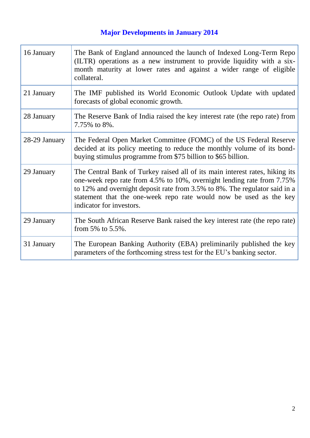## **Major Developments in January 2014**

| 16 January    | The Bank of England announced the launch of Indexed Long-Term Repo<br>(ILTR) operations as a new instrument to provide liquidity with a six-<br>month maturity at lower rates and against a wider range of eligible<br>collateral.                                                                                                     |
|---------------|----------------------------------------------------------------------------------------------------------------------------------------------------------------------------------------------------------------------------------------------------------------------------------------------------------------------------------------|
| 21 January    | The IMF published its World Economic Outlook Update with updated<br>forecasts of global economic growth.                                                                                                                                                                                                                               |
| 28 January    | The Reserve Bank of India raised the key interest rate (the repo rate) from<br>7.75% to 8%.                                                                                                                                                                                                                                            |
| 28-29 January | The Federal Open Market Committee (FOMC) of the US Federal Reserve<br>decided at its policy meeting to reduce the monthly volume of its bond-<br>buying stimulus programme from \$75 billion to \$65 billion.                                                                                                                          |
| 29 January    | The Central Bank of Turkey raised all of its main interest rates, hiking its<br>one-week repo rate from 4.5% to 10%, overnight lending rate from 7.75%<br>to 12% and overnight deposit rate from 3.5% to 8%. The regulator said in a<br>statement that the one-week repo rate would now be used as the key<br>indicator for investors. |
| 29 January    | The South African Reserve Bank raised the key interest rate (the repo rate)<br>from 5% to $5.5\%$ .                                                                                                                                                                                                                                    |
| 31 January    | The European Banking Authority (EBA) preliminarily published the key<br>parameters of the forthcoming stress test for the EU's banking sector.                                                                                                                                                                                         |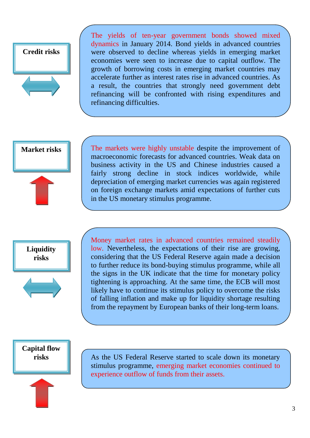

The yields of ten-year government bonds showed mixed dynamics in January 2014. Bond yields in advanced countries were observed to decline whereas yields in emerging market economies were seen to increase due to capital outflow. The growth of borrowing costs in emerging market countries may accelerate further as interest rates rise in advanced countries. As a result, the countries that strongly need government debt refinancing will be confronted with rising expenditures and refinancing difficulties.

**Market risks** 



The markets were highly unstable despite the improvement of macroeconomic forecasts for advanced countries. Weak data on business activity in the US and Chinese industries caused a fairly strong decline in stock indices worldwide, while depreciation of emerging market currencies was again registered on foreign exchange markets amid expectations of further cuts in the US monetary stimulus programme.



Money market rates in advanced countries remained steadily low. Nevertheless, the expectations of their rise are growing, considering that the US Federal Reserve again made a decision to further reduce its bond-buying stimulus programme, while all the signs in the UK indicate that the time for monetary policy tightening is approaching. At the same time, the ECB will most likely have to continue its stimulus policy to overcome the risks of falling inflation and make up for liquidity shortage resulting from the repayment by European banks of their long-term loans.

**Capital flow risks** 

As the US Federal Reserve started to scale down its monetary stimulus programme, emerging market economies continued to experience outflow of funds from their assets.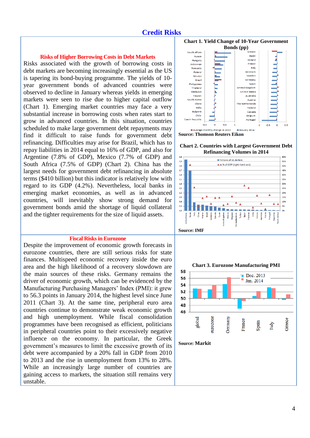## **Credit Risks**

#### **Risks of Higher Borrowing Costs in Debt Markets**

Risks associated with the growth of borrowing costs in debt markets are becoming increasingly essential as the US is tapering its bond-buying programme. The yields of 10 year government bonds of advanced countries were observed to decline in January whereas yields in emerging markets were seen to rise due to higher capital outflow (Chart 1). Emerging market countries may face a very substantial increase in borrowing costs when rates start to grow in advanced countries. In this situation, countries scheduled to make large government debt repayments may find it difficult to raise funds for government debt refinancing. Difficulties may arise for Brazil, which has to repay liabilities in 2014 equal to 16% of GDP, and also for Argentine (7.8% of GDP), Mexico (7.7% of GDP) and South Africa (7.5% of GDP) (Chart 2). China has the largest needs for government debt refinancing in absolute terms (\$410 billion) but this indicator is relatively low with regard to its GDP (4.2%). Nevertheless, local banks in emerging market economies, as well as in advanced countries, will inevitably show strong demand for government bonds amid the shortage of liquid collateral and the tighter requirements for the size of liquid assets.

#### **Fiscal Risks in Eurozone**

Despite the improvement of economic growth forecasts in eurozone countries, there are still serious risks for state finances. Multispeed economic recovery inside the euro area and the high likelihood of a recovery slowdown are the main sources of these risks. Germany remains the driver of economic growth, which can be evidenced by the Manufacturing Purchasing Managers' Index (PMI): it grew to 56.3 points in January 2014, the highest level since June 2011 (Chart 3). At the same tine, peripheral euro area countries continue to demonstrate weak economic growth and high unemployment. While fiscal consolidation programmes have been recognised as efficient, politicians in peripheral countries point to their excessively negative influence on the economy. In particular, the Greek government's measures to limit the excessive growth of its debt were accompanied by a 20% fall in GDP from 2010 to 2013 and the rise in unemployment from 13% to 28%. While an increasingly large number of countries are gaining access to markets, the situation still remains very unstable.



**Chart 2. Countries with Largest Government Debt Refinancing Volumes in 2014** 





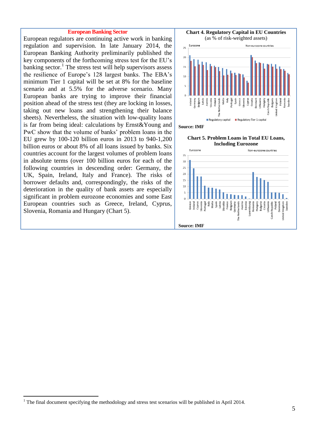#### **European Banking Sector**

European regulators are continuing active work in banking regulation and supervision. In late January 2014, the European Banking Authority preliminarily published the key components of the forthcoming stress test for the EU's banking sector.<sup>1</sup> The stress test will help supervisors assess the resilience of Europe's 128 largest banks. The EBA's minimum Tier 1 capital will be set at 8% for the baseline scenario and at 5.5% for the adverse scenario. Many European banks are trying to improve their financial position ahead of the stress test (they are locking in losses, taking out new loans and strengthening their balance sheets). Nevertheless, the situation with low-quality loans is far from being ideal: calculations by Ernst&Young and PwC show that the volume of banks' problem loans in the EU grew by 100-120 billion euros in 2013 to 940-1,200 billion euros or about 8% of all loans issued by banks. Six countries account for the largest volumes of problem loans in absolute terms (over 100 billion euros for each of the following countries in descending order: Germany, the UK, Spain, Ireland, Italy and France). The risks of borrower defaults and, correspondingly, the risks of the deterioration in the quality of bank assets are especially significant in problem eurozone economies and some East European countries such as Greece, Ireland, Cyprus, Slovenia, Romania and Hungary (Chart 5).





 $\overline{a}$ 

<sup>&</sup>lt;sup>1</sup> The final document specifying the methodology and stress test scenarios will be published in April 2014.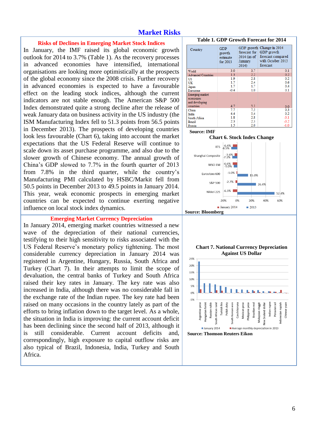## **Market Risks**

#### **Risks of Declines in Emerging Market Stock Indices**

In January, the IMF raised its global economic growth outlook for 2014 to 3.7% (Table 1). As the recovery processes in advanced economies have intensified, international organisations are looking more optimistically at the prospects of the global economy since the 2008 crisis. Further recovery in advanced economies is expected to have a favourable effect on the leading stock indices, although the current indicators are not stable enough. The American S&P 500 Index demonstrated quite a strong decline after the release of weak January data on business activity in the US industry (the ISM Manufacturing Index fell to 51.3 points from 56.5 points in December 2013). The prospects of developing countries look less favourable (Chart 6), taking into account the market expectations that the US Federal Reserve will continue to scale down its asset purchase programme, and also due to the slower growth of Chinese economy. The annual growth of China's GDP slowed to 7.7% in the fourth quarter of 2013 from 7.8% in the third quarter, while the country's Manufacturing PMI calculated by HSBC/Markit fell from 50.5 points in December 2013 to 49.5 points in January 2014. This year, weak economic prospects in emerging market countries can be expected to continue exerting negative influence on local stock index dynamics.

#### **Emerging Market Currency Depreciation**

In January 2014, emerging market countries witnessed a new wave of the depreciation of their national currencies, testifying to their high sensitivity to risks associated with the US Federal Reserve's monetary policy tightening. The most considerable currency depreciation in January 2014 was registered in Argentine, Hungary, Russia, South Africa and Turkey (Chart 7). In their attempts to limit the scope of devaluation, the central banks of Turkey and South Africa raised their key rates in January. The key rate was also increased in India, although there was no considerable fall in the exchange rate of the Indian rupee. The key rate had been raised on many occasions in the country lately as part of the efforts to bring inflation down to the target level. As a whole, the situation in India is improving: the current account deficit has been declining since the second half of 2013, although it is still considerable. Current account deficits and, correspondingly, high exposure to capital outflow risks are also typical of Brazil, Indonesia, India, Turkey and South Africa.







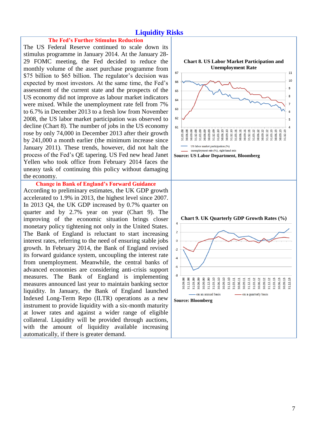## **Liquidity Risks**

#### **The Fed's Further Stimulus Reduction**

The US Federal Reserve continued to scale down its stimulus programme in January 2014. At the January 28- 29 FOMC meeting, the Fed decided to reduce the monthly volume of the asset purchase programme from \$75 billion to \$65 billion. The regulator's decision was expected by most investors. At the same time, the Fed's assessment of the current state and the prospects of the US economy did not improve as labour market indicators were mixed. While the unemployment rate fell from 7% to 6.7% in December 2013 to a fresh low from November 2008, the US labor market participation was observed to decline (Chart 8). The number of jobs in the US economy rose by only 74,000 in December 2013 after their growth by 241,000 a month earlier (the minimum increase since January 2011). These trends, however, did not halt the process of the Fed's QE tapering. US Fed new head Janet Yellen who took office from February 2014 faces the uneasy task of continuing this policy without damaging the economy.

**Change in Bank of England's Forward Guidance** According to preliminary estimates, the UK GDP growth accelerated to 1.9% in 2013, the highest level since 2007. In 2013 Q4, the UK GDP increased by 0.7% quarter on quarter and by 2.7% year on year (Chart 9). The improving of the economic situation brings closer monetary policy tightening not only in the United States. The Bank of England is reluctant to start increasing interest rates, referring to the need of ensuring stable jobs growth. In February 2014, the Bank of England revised its forward guidance system, uncoupling the interest rate from unemployment. Meanwhile, the central banks of advanced economies are considering anti-crisis support measures. The Bank of England is implementing measures announced last year to maintain banking sector liquidity. In January, the Bank of England launched Indexed Long-Term Repo (ILTR) operations as a new instrument to provide liquidity with a six-month maturity at lower rates and against a wider range of eligible collateral. Liquidity will be provided through auctions, with the amount of liquidity available increasing automatically, if there is greater demand.

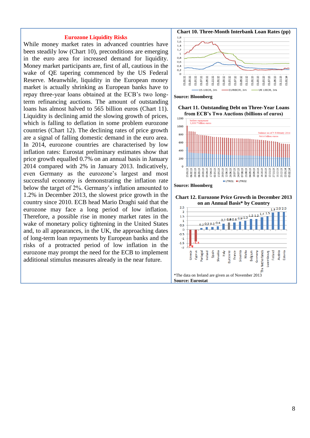#### **Eurozone Liquidity Risks**

While money market rates in advanced countries have been steadily low (Chart 10), preconditions are emerging in the euro area for increased demand for liquidity. Money market participants are, first of all, cautious in the wake of QE tapering commenced by the US Federal Reserve. Meanwhile, liquidity in the European money market is actually shrinking as European banks have to repay three-year loans obtained at the ECB's two longterm refinancing auctions. The amount of outstanding loans has almost halved to 565 billion euros (Chart 11). Liquidity is declining amid the slowing growth of prices, which is falling to deflation in some problem eurozone countries (Chart 12). The declining rates of price growth are a signal of falling domestic demand in the euro area. In 2014, eurozone countries are characterised by low inflation rates: Eurostat preliminary estimates show that price growth equalled 0.7% on an annual basis in January 2014 compared with 2% in January 2013. Indicatively, even Germany as the eurozone's largest and most successful economy is demonstrating the inflation rate below the target of 2%. Germany's inflation amounted to 1.2% in December 2013, the slowest price growth in the country since 2010. ECB head Mario Draghi said that the eurozone may face a long period of low inflation. Therefore, a possible rise in money market rates in the wake of monetary policy tightening in the United States and, to all appearances, in the UK, the approaching dates of long-term loan repayments by European banks and the risks of a protracted period of low inflation in the eurozone may prompt the need for the ECB to implement additional stimulus measures already in the near future.





**Chart 11. Outstanding Debt on Three-Year Loans from ECB's Two Auctions (billions of euros)**   $1200$ 







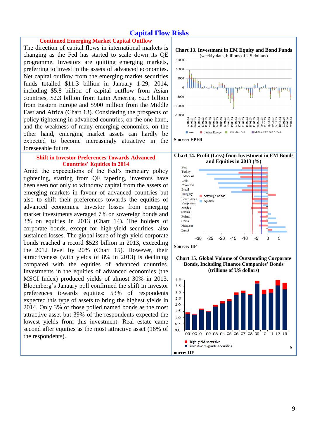## **Capital Flow Risks**

## **Continued Emerging Market Capital Outflow**

The direction of capital flows in international markets is changing as the Fed has started to scale down its QE programme. Investors are quitting emerging markets, preferring to invest in the assets of advanced economies. Net capital outflow from the emerging market securities funds totalled \$11.3 billion in January 1-29, 2014, including \$5.8 billion of capital outflow from Asian countries, \$2.3 billion from Latin America, \$2.3 billion from Eastern Europe and \$900 million from the Middle East and Africa (Chart 13). Considering the prospects of policy tightening in advanced countries, on the one hand, and the weakness of many emerging economies, on the other hand, emerging market assets can hardly be expected to become increasingly attractive in the foreseeable future.

### **Shift in Investor Preferences Towards Advanced Countries' Equities in 2014**

Amid the expectations of the Fed's monetary policy tightening, starting from QE tapering, investors have been seen not only to withdraw capital from the assets of emerging markets in favour of advanced countries but also to shift their preferences towards the equities of advanced economies. Investor losses from emerging market investments averaged 7% on sovereign bonds and 3% on equities in 2013 (Chart 14). The holders of corporate bonds, except for high-yield securities, also sustained losses. The global issue of high-yield corporate bonds reached a record \$523 billion in 2013, exceeding the 2012 level by 20% (Chart 15). However, their attractiveness (with yields of 8% in 2013) is declining compared with the equities of advanced countries. Investments in the equities of advanced economies (the MSCI Index) produced yields of almost 30% in 2013. Bloomberg's January poll confirmed the shift in investor preferences towards equities: 53% of respondents expected this type of assets to bring the highest yields in 2014. Only 3% of those polled named bonds as the most attractive asset but 39% of the respondents expected the lowest yields from this investment. Real estate came second after equities as the most attractive asset (16% of the respondents).